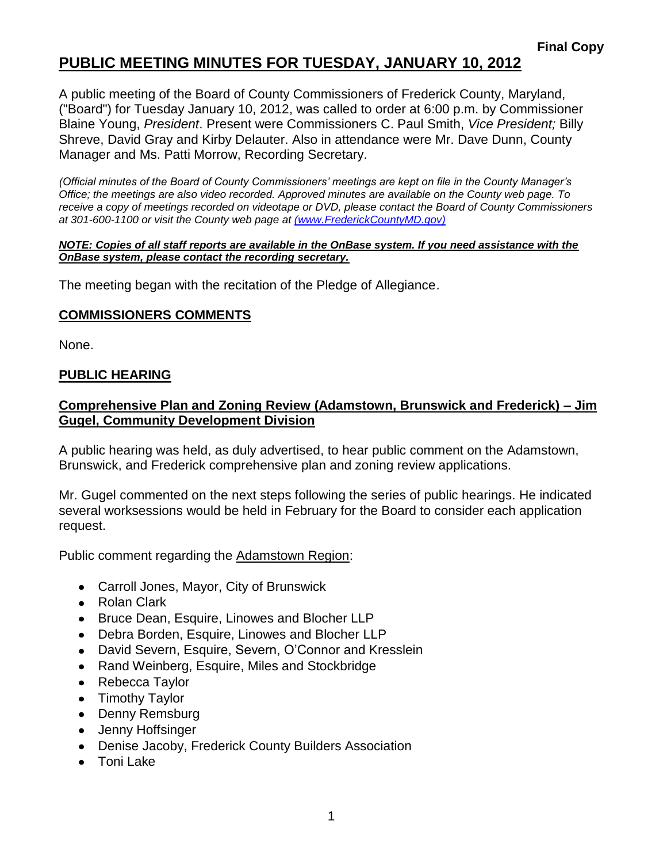# **PUBLIC MEETING MINUTES FOR TUESDAY, JANUARY 10, 2012**

A public meeting of the Board of County Commissioners of Frederick County, Maryland, ("Board") for Tuesday January 10, 2012, was called to order at 6:00 p.m. by Commissioner Blaine Young, *President*. Present were Commissioners C. Paul Smith, *Vice President;* Billy Shreve, David Gray and Kirby Delauter. Also in attendance were Mr. Dave Dunn, County Manager and Ms. Patti Morrow, Recording Secretary.

*(Official minutes of the Board of County Commissioners' meetings are kept on file in the County Manager's Office; the meetings are also video recorded. Approved minutes are available on the County web page. To receive a copy of meetings recorded on videotape or DVD, please contact the Board of County Commissioners at 301-600-1100 or visit the County web page at [\(www.FrederickCountyMD.gov\)](file://NT1S5/BOCC/BOCC/BOCC%20Minutes/Patti)*

#### *NOTE: Copies of all staff reports are available in the OnBase system. If you need assistance with the OnBase system, please contact the recording secretary.*

The meeting began with the recitation of the Pledge of Allegiance.

### **COMMISSIONERS COMMENTS**

None.

### **PUBLIC HEARING**

### **Comprehensive Plan and Zoning Review (Adamstown, Brunswick and Frederick) – Jim Gugel, Community Development Division**

A public hearing was held, as duly advertised, to hear public comment on the Adamstown, Brunswick, and Frederick comprehensive plan and zoning review applications.

Mr. Gugel commented on the next steps following the series of public hearings. He indicated several worksessions would be held in February for the Board to consider each application request.

Public comment regarding the Adamstown Region:

- Carroll Jones, Mayor, City of Brunswick
- Rolan Clark
- Bruce Dean, Esquire, Linowes and Blocher LLP
- Debra Borden, Esquire, Linowes and Blocher LLP
- David Severn, Esquire, Severn, O'Connor and Kresslein
- Rand Weinberg, Esquire, Miles and Stockbridge
- Rebecca Taylor
- Timothy Taylor
- Denny Remsburg
- Jenny Hoffsinger
- Denise Jacoby, Frederick County Builders Association
- Toni Lake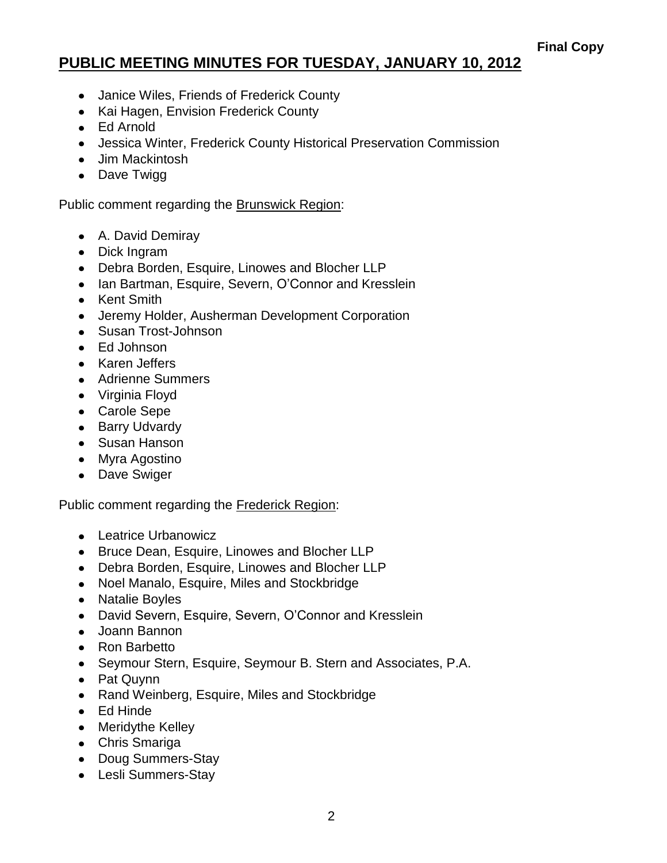# **PUBLIC MEETING MINUTES FOR TUESDAY, JANUARY 10, 2012**

- Janice Wiles, Friends of Frederick County
- Kai Hagen, Envision Frederick County
- Ed Arnold
- Jessica Winter, Frederick County Historical Preservation Commission
- Jim Mackintosh
- Dave Twigg

Public comment regarding the Brunswick Region:

- A. David Demiray
- Dick Ingram
- Debra Borden, Esquire, Linowes and Blocher LLP
- Ian Bartman, Esquire, Severn, O'Connor and Kresslein
- Kent Smith
- Jeremy Holder, Ausherman Development Corporation
- Susan Trost-Johnson
- Ed Johnson
- Karen Jeffers
- Adrienne Summers
- Virginia Floyd
- Carole Sepe
- Barry Udvardy
- Susan Hanson
- Myra Agostino
- Dave Swiger

Public comment regarding the Frederick Region:

- Leatrice Urbanowicz
- Bruce Dean, Esquire, Linowes and Blocher LLP
- Debra Borden, Esquire, Linowes and Blocher LLP
- Noel Manalo, Esquire, Miles and Stockbridge
- Natalie Boyles
- David Severn, Esquire, Severn, O'Connor and Kresslein
- Joann Bannon
- Ron Barbetto
- Seymour Stern, Esquire, Seymour B. Stern and Associates, P.A.
- Pat Quynn
- Rand Weinberg, Esquire, Miles and Stockbridge
- Ed Hinde
- Meridythe Kelley
- Chris Smariga
- Doug Summers-Stay
- Lesli Summers-Stay